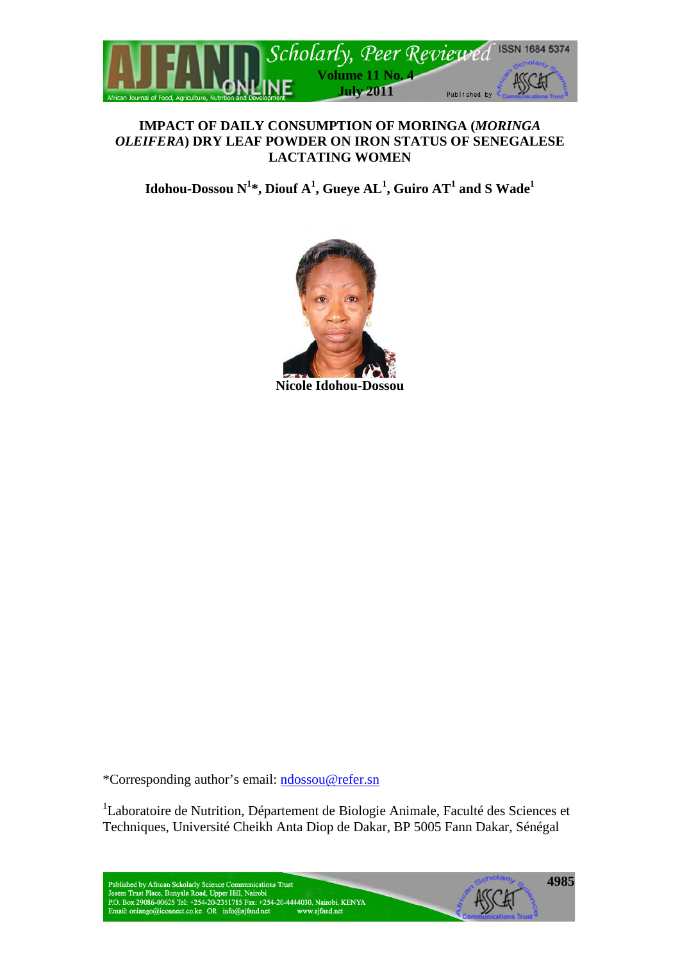

## **IMPACT OF DAILY CONSUMPTION OF MORINGA (***MORINGA OLEIFERA***) DRY LEAF POWDER ON IRON STATUS OF SENEGALESE LACTATING WOMEN**

 ${\bf N}$ ldohou- ${\bf D}$ ossou  ${\bf N}^{1*},$   ${\bf Diouf\,}{\bf A}^{1},$   ${\bf G}$ ueye  ${\bf AL}^{1},$   ${\bf G}$ uiro  ${\bf AT}^{1}$  and  ${\bf S\,Wad{e}^{1}}$ 



**Nicole Idohou-Dossou**

\*Corresponding author's email: [ndossou@refer.sn](mailto:ndossou@refer.sn)

<sup>1</sup>Laboratoire de Nutrition, Département de Biologie Animale, Faculté des Sciences et Techniques, Université Cheikh Anta Diop de Dakar, BP 5005 Fann Dakar, Sénégal

Published by African Scholarly Science Communications Trust<br>Josem Trust Place, Bunyala Road, Upper Hill, Nairobi<br>P.O. Box 29086-00625 Tel: +254-20-2351785 Fax: +254-20-4444030, Nairobi, KENYA Email: oniango@iconnect.co.ke OR info@ajfand.net www.ajfand.net

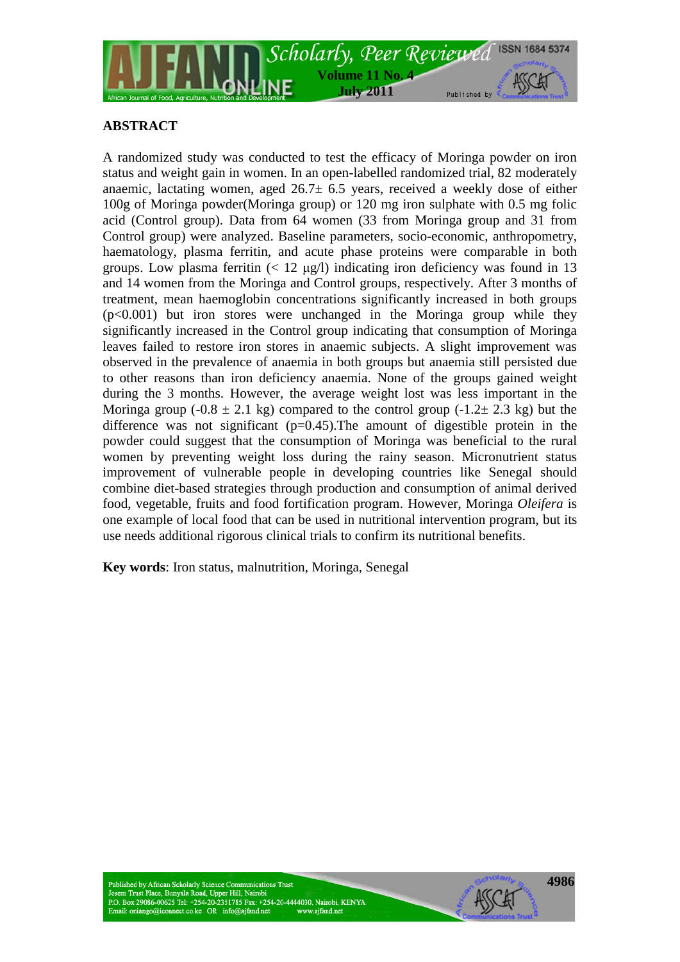

# **ABSTRACT**

A randomized study was conducted to test the efficacy of Moringa powder on iron status and weight gain in women. In an open-labelled randomized trial, 82 moderately anaemic, lactating women, aged  $26.7\pm 6.5$  years, received a weekly dose of either 100g of Moringa powder(Moringa group) or 120 mg iron sulphate with 0.5 mg folic acid (Control group). Data from 64 women (33 from Moringa group and 31 from Control group) were analyzed. Baseline parameters, socio-economic, anthropometry, haematology, plasma ferritin, and acute phase proteins were comparable in both groups. Low plasma ferritin  $\left($   $\lt$  12  $\mu$ g/l) indicating iron deficiency was found in 13 and 14 women from the Moringa and Control groups, respectively. After 3 months of treatment, mean haemoglobin concentrations significantly increased in both groups  $(p<0.001)$  but iron stores were unchanged in the Moringa group while they significantly increased in the Control group indicating that consumption of Moringa leaves failed to restore iron stores in anaemic subjects. A slight improvement was observed in the prevalence of anaemia in both groups but anaemia still persisted due to other reasons than iron deficiency anaemia. None of the groups gained weight during the 3 months. However, the average weight lost was less important in the Moringa group (-0.8  $\pm$  2.1 kg) compared to the control group (-1.2 $\pm$  2.3 kg) but the difference was not significant  $(p=0.45)$ . The amount of digestible protein in the powder could suggest that the consumption of Moringa was beneficial to the rural women by preventing weight loss during the rainy season. Micronutrient status improvement of vulnerable people in developing countries like Senegal should combine diet-based strategies through production and consumption of animal derived food, vegetable, fruits and food fortification program. However, Moringa *Oleifera* is one example of local food that can be used in nutritional intervention program, but its use needs additional rigorous clinical trials to confirm its nutritional benefits.

**Key words**: Iron status, malnutrition, Moringa, Senegal

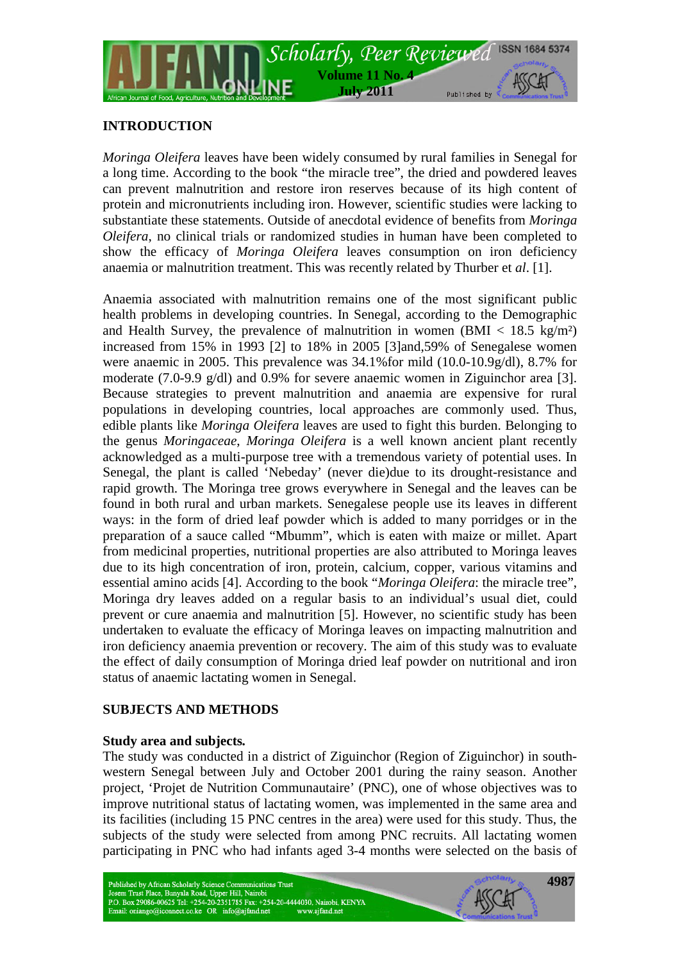

## **INTRODUCTION**

*Moringa Oleifera* leaves have been widely consumed by rural families in Senegal for a long time. According to the book "the miracle tree", the dried and powdered leaves can prevent malnutrition and restore iron reserves because of its high content of protein and micronutrients including iron. However, scientific studies were lacking to substantiate these statements. Outside of anecdotal evidence of benefits from *Moringa Oleifera*, no clinical trials or randomized studies in human have been completed to show the efficacy of *Moringa Oleifera* leaves consumption on iron deficiency anaemia or malnutrition treatment. This was recently related by Thurber et *al*. [1].

Anaemia associated with malnutrition remains one of the most significant public health problems in developing countries. In Senegal, according to the Demographic and Health Survey, the prevalence of malnutrition in women (BMI  $< 18.5 \text{ kg/m}^2$ ) increased from 15% in 1993 [2] to 18% in 2005 [3]and,59% of Senegalese women were anaemic in 2005. This prevalence was 34.1%for mild (10.0-10.9g/dl), 8.7% for moderate (7.0-9.9 g/dl) and 0.9% for severe anaemic women in Ziguinchor area [3]. Because strategies to prevent malnutrition and anaemia are expensive for rural populations in developing countries, local approaches are commonly used. Thus, edible plants like *Moringa Oleifera* leaves are used to fight this burden. Belonging to the genus *Moringaceae*, *Moringa Oleifera* is a well known ancient plant recently acknowledged as a multi-purpose tree with a tremendous variety of potential uses. In Senegal, the plant is called 'Nebeday' (never die)due to its drought-resistance and rapid growth. The Moringa tree grows everywhere in Senegal and the leaves can be found in both rural and urban markets. Senegalese people use its leaves in different ways: in the form of dried leaf powder which is added to many porridges or in the preparation of a sauce called "Mbumm", which is eaten with maize or millet. Apart from medicinal properties, nutritional properties are also attributed to Moringa leaves due to its high concentration of iron, protein, calcium, copper, various vitamins and essential amino acids [4]. According to the book "*Moringa Oleifera*: the miracle tree", Moringa dry leaves added on a regular basis to an individual's usual diet, could prevent or cure anaemia and malnutrition [5]. However, no scientific study has been undertaken to evaluate the efficacy of Moringa leaves on impacting malnutrition and iron deficiency anaemia prevention or recovery. The aim of this study was to evaluate the effect of daily consumption of Moringa dried leaf powder on nutritional and iron status of anaemic lactating women in Senegal.

# **SUBJECTS AND METHODS**

### **Study area and subjects***.*

The study was conducted in a district of Ziguinchor (Region of Ziguinchor) in southwestern Senegal between July and October 2001 during the rainy season. Another project, 'Projet de Nutrition Communautaire' (PNC), one of whose objectives was to improve nutritional status of lactating women, was implemented in the same area and its facilities (including 15 PNC centres in the area) were used for this study. Thus, the subjects of the study were selected from among PNC recruits. All lactating women participating in PNC who had infants aged 3-4 months were selected on the basis of

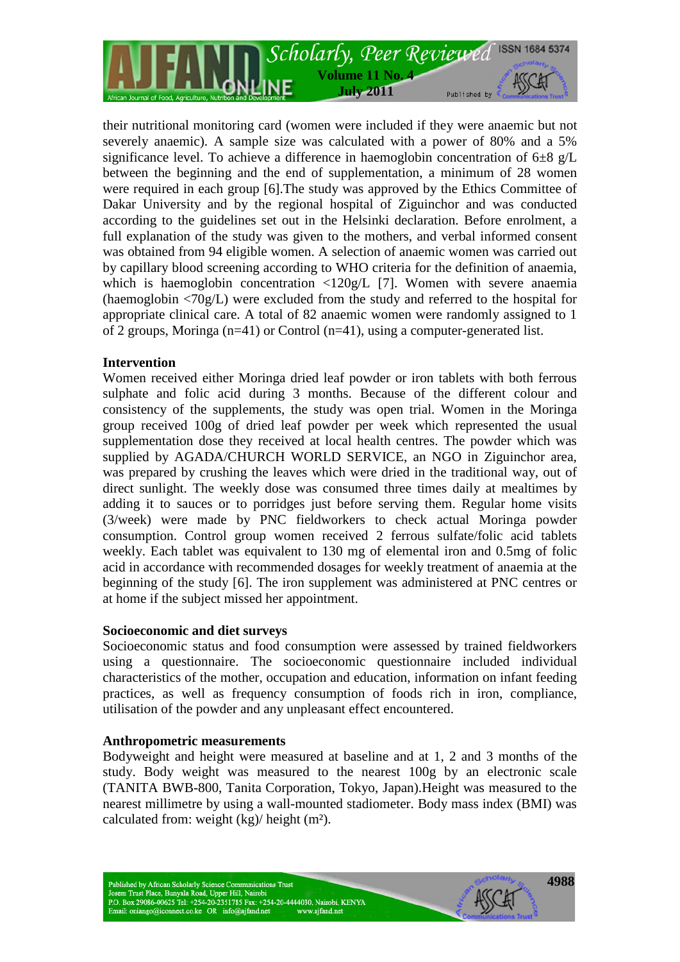

their nutritional monitoring card (women were included if they were anaemic but not severely anaemic). A sample size was calculated with a power of 80% and a 5% significance level. To achieve a difference in haemoglobin concentration of  $6\pm8$  g/L between the beginning and the end of supplementation, a minimum of 28 women were required in each group [6].The study was approved by the Ethics Committee of Dakar University and by the regional hospital of Ziguinchor and was conducted according to the guidelines set out in the Helsinki declaration. Before enrolment, a full explanation of the study was given to the mothers, and verbal informed consent was obtained from 94 eligible women. A selection of anaemic women was carried out by capillary blood screening according to WHO criteria for the definition of anaemia, which is haemoglobin concentration <120g/L [7]. Women with severe anaemia (haemoglobin <70g/L) were excluded from the study and referred to the hospital for appropriate clinical care. A total of 82 anaemic women were randomly assigned to 1 of 2 groups, Moringa (n=41) or Control (n=41), using a computer-generated list.

## **Intervention**

Women received either Moringa dried leaf powder or iron tablets with both ferrous sulphate and folic acid during 3 months. Because of the different colour and consistency of the supplements, the study was open trial. Women in the Moringa group received 100g of dried leaf powder per week which represented the usual supplementation dose they received at local health centres. The powder which was supplied by AGADA/CHURCH WORLD SERVICE, an NGO in Ziguinchor area, was prepared by crushing the leaves which were dried in the traditional way, out of direct sunlight. The weekly dose was consumed three times daily at mealtimes by adding it to sauces or to porridges just before serving them. Regular home visits (3/week) were made by PNC fieldworkers to check actual Moringa powder consumption. Control group women received 2 ferrous sulfate/folic acid tablets weekly. Each tablet was equivalent to 130 mg of elemental iron and 0.5mg of folic acid in accordance with recommended dosages for weekly treatment of anaemia at the beginning of the study [6]. The iron supplement was administered at PNC centres or at home if the subject missed her appointment.

### **Socioeconomic and diet surveys**

Socioeconomic status and food consumption were assessed by trained fieldworkers using a questionnaire. The socioeconomic questionnaire included individual characteristics of the mother, occupation and education, information on infant feeding practices, as well as frequency consumption of foods rich in iron, compliance, utilisation of the powder and any unpleasant effect encountered.

### **Anthropometric measurements**

Bodyweight and height were measured at baseline and at 1, 2 and 3 months of the study. Body weight was measured to the nearest 100g by an electronic scale (TANITA BWB-800, Tanita Corporation, Tokyo, Japan).Height was measured to the nearest millimetre by using a wall-mounted stadiometer. Body mass index (BMI) was calculated from: weight (kg)/ height (m²).

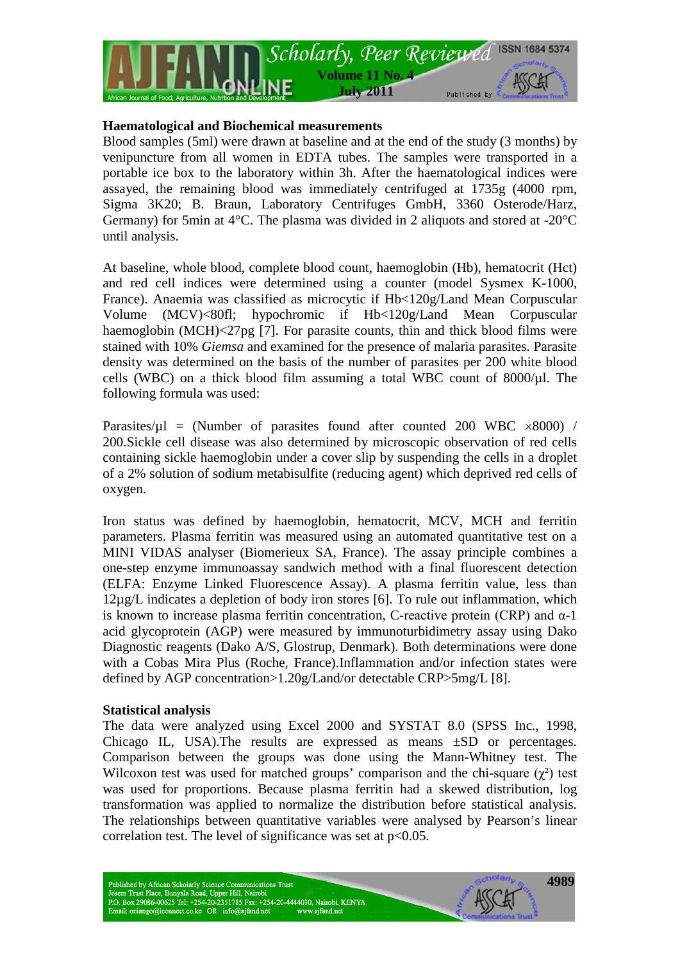

### **Haematological and Biochemical measurements**

Blood samples (5ml) were drawn at baseline and at the end of the study (3 months) by venipuncture from all women in EDTA tubes. The samples were transported in a portable ice box to the laboratory within 3h. After the haematological indices were assayed, the remaining blood was immediately centrifuged at 1735g (4000 rpm, Sigma 3K20; B. Braun, Laboratory Centrifuges GmbH, 3360 Osterode/Harz, Germany) for 5min at 4°C. The plasma was divided in 2 aliquots and stored at -20°C until analysis.

At baseline, whole blood, complete blood count, haemoglobin (Hb), hematocrit (Hct) and red cell indices were determined using a counter (model Sysmex K-1000, France). Anaemia was classified as microcytic if Hb<120g/Land Mean Corpuscular Volume (MCV)<80fl; hypochromic if Hb<120g/Land Mean Corpuscular haemoglobin (MCH)<27pg [7]. For parasite counts, thin and thick blood films were stained with 10% *Giemsa* and examined for the presence of malaria parasites. Parasite density was determined on the basis of the number of parasites per 200 white blood cells (WBC) on a thick blood film assuming a total WBC count of 8000/µl. The following formula was used:

Parasites/ $\mu$ l = (Number of parasites found after counted 200 WBC  $\times$ 8000) / 200.Sickle cell disease was also determined by microscopic observation of red cells containing sickle haemoglobin under a cover slip by suspending the cells in a droplet of a 2% solution of sodium metabisulfite (reducing agent) which deprived red cells of oxygen.

Iron status was defined by haemoglobin, hematocrit, MCV, MCH and ferritin parameters. Plasma ferritin was measured using an automated quantitative test on a MINI VIDAS analyser (Biomerieux SA, France). The assay principle combines a one-step enzyme immunoassay sandwich method with a final fluorescent detection (ELFA: Enzyme Linked Fluorescence Assay). A plasma ferritin value, less than 12µg/L indicates a depletion of body iron stores [6]. To rule out inflammation, which is known to increase plasma ferritin concentration, C-reactive protein (CRP) and α-1 acid glycoprotein (AGP) were measured by immunoturbidimetry assay using Dako Diagnostic reagents (Dako A/S, Glostrup, Denmark). Both determinations were done with a Cobas Mira Plus (Roche, France).Inflammation and/or infection states were defined by AGP concentration>1.20g/Land/or detectable CRP>5mg/L [8].

#### **Statistical analysis**

The data were analyzed using Excel 2000 and SYSTAT 8.0 (SPSS Inc., 1998, Chicago IL, USA).The results are expressed as means ±SD or percentages. Comparison between the groups was done using the Mann-Whitney test. The Wilcoxon test was used for matched groups' comparison and the chi-square  $(\chi^2)$  test was used for proportions. Because plasma ferritin had a skewed distribution, log transformation was applied to normalize the distribution before statistical analysis. The relationships between quantitative variables were analysed by Pearson's linear correlation test. The level of significance was set at  $p<0.05$ .

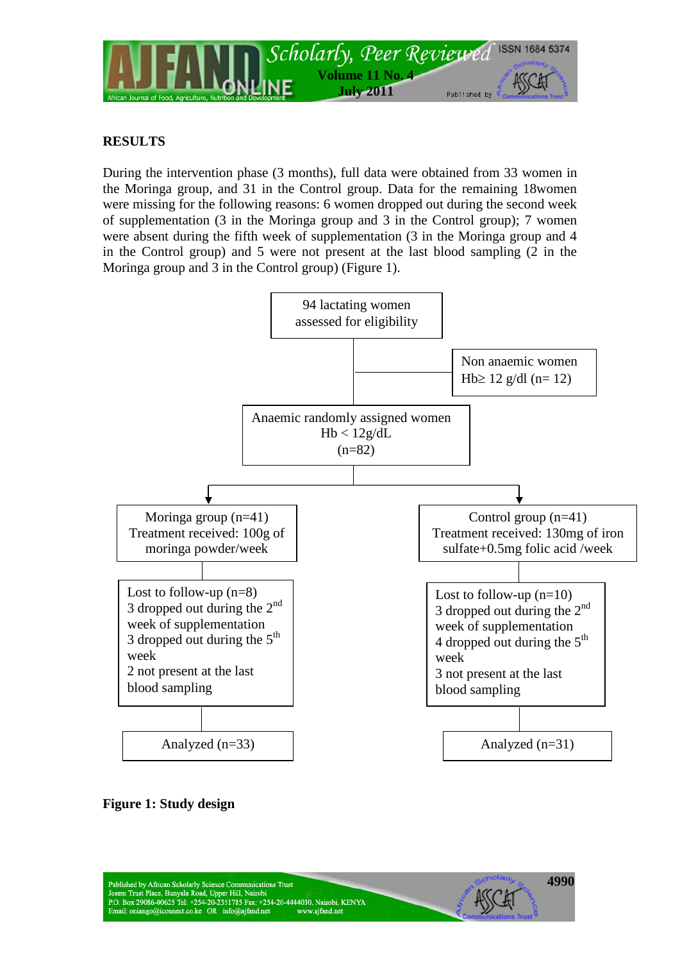

# **RESULTS**

During the intervention phase (3 months), full data were obtained from 33 women in the Moringa group, and 31 in the Control group. Data for the remaining 18women were missing for the following reasons: 6 women dropped out during the second week of supplementation (3 in the Moringa group and 3 in the Control group); 7 women were absent during the fifth week of supplementation (3 in the Moringa group and 4 in the Control group) and 5 were not present at the last blood sampling (2 in the Moringa group and 3 in the Control group) (Figure 1).



# **Figure 1: Study design**

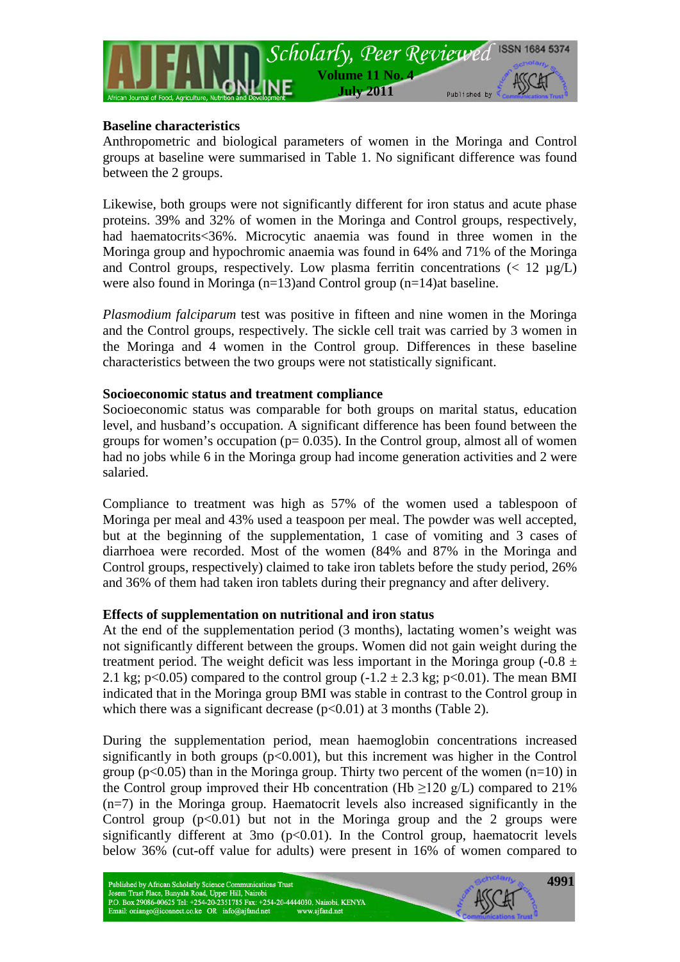

### **Baseline characteristics**

Anthropometric and biological parameters of women in the Moringa and Control groups at baseline were summarised in Table 1. No significant difference was found between the 2 groups.

Likewise, both groups were not significantly different for iron status and acute phase proteins. 39% and 32% of women in the Moringa and Control groups, respectively, had haematocrits<36%. Microcytic anaemia was found in three women in the Moringa group and hypochromic anaemia was found in 64% and 71% of the Moringa and Control groups, respectively. Low plasma ferritin concentrations  $\langle \langle 12 \mu g/L \rangle$ were also found in Moringa (n=13)and Control group (n=14)at baseline.

*Plasmodium falciparum* test was positive in fifteen and nine women in the Moringa and the Control groups, respectively. The sickle cell trait was carried by 3 women in the Moringa and 4 women in the Control group. Differences in these baseline characteristics between the two groups were not statistically significant.

### **Socioeconomic status and treatment compliance**

Socioeconomic status was comparable for both groups on marital status, education level, and husband's occupation. A significant difference has been found between the groups for women's occupation ( $p= 0.035$ ). In the Control group, almost all of women had no jobs while 6 in the Moringa group had income generation activities and 2 were salaried.

Compliance to treatment was high as 57% of the women used a tablespoon of Moringa per meal and 43% used a teaspoon per meal. The powder was well accepted, but at the beginning of the supplementation, 1 case of vomiting and 3 cases of diarrhoea were recorded. Most of the women (84% and 87% in the Moringa and Control groups, respectively) claimed to take iron tablets before the study period, 26% and 36% of them had taken iron tablets during their pregnancy and after delivery.

### **Effects of supplementation on nutritional and iron status**

At the end of the supplementation period (3 months), lactating women's weight was not significantly different between the groups. Women did not gain weight during the treatment period. The weight deficit was less important in the Moringa group  $(-0.8 \pm 1.00)$ 2.1 kg; p<0.05) compared to the control group  $(-1.2 \pm 2.3 \text{ kg}; \text{p} \le 0.01)$ . The mean BMI indicated that in the Moringa group BMI was stable in contrast to the Control group in which there was a significant decrease  $(p<0.01)$  at 3 months (Table 2).

During the supplementation period, mean haemoglobin concentrations increased significantly in both groups  $(p<0.001)$ , but this increment was higher in the Control group ( $p<0.05$ ) than in the Moringa group. Thirty two percent of the women ( $n=10$ ) in the Control group improved their Hb concentration (Hb  $\geq$ 120 g/L) compared to 21% (n=7) in the Moringa group. Haematocrit levels also increased significantly in the Control group  $(p<0.01)$  but not in the Moringa group and the 2 groups were significantly different at 3mo  $(p<0.01)$ . In the Control group, haematocrit levels below 36% (cut-off value for adults) were present in 16% of women compared to

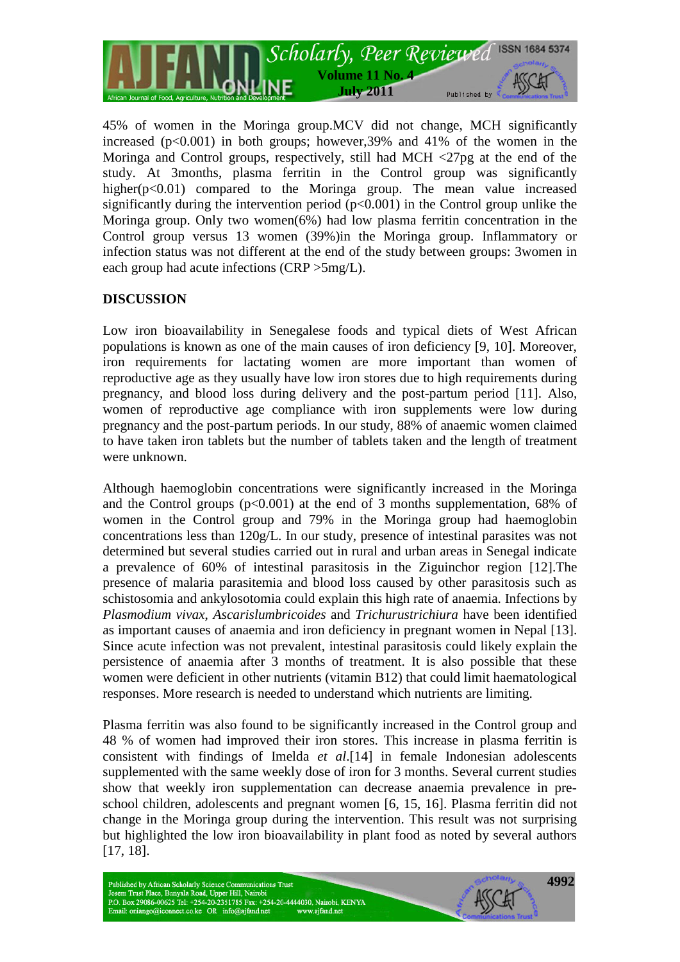

45% of women in the Moringa group.MCV did not change, MCH significantly increased  $(p<0.001)$  in both groups; however, 39% and 41% of the women in the Moringa and Control groups, respectively, still had MCH <27pg at the end of the study. At 3months, plasma ferritin in the Control group was significantly higher $(p<0.01)$  compared to the Moringa group. The mean value increased significantly during the intervention period  $(p<0.001)$  in the Control group unlike the Moringa group. Only two women(6%) had low plasma ferritin concentration in the Control group versus 13 women (39%)in the Moringa group. Inflammatory or infection status was not different at the end of the study between groups: 3women in each group had acute infections (CRP >5mg/L).

# **DISCUSSION**

Low iron bioavailability in Senegalese foods and typical diets of West African populations is known as one of the main causes of iron deficiency [9, 10]. Moreover, iron requirements for lactating women are more important than women of reproductive age as they usually have low iron stores due to high requirements during pregnancy, and blood loss during delivery and the post-partum period [11]. Also, women of reproductive age compliance with iron supplements were low during pregnancy and the post-partum periods. In our study, 88% of anaemic women claimed to have taken iron tablets but the number of tablets taken and the length of treatment were unknown.

Although haemoglobin concentrations were significantly increased in the Moringa and the Control groups  $(p<0.001)$  at the end of 3 months supplementation, 68% of women in the Control group and 79% in the Moringa group had haemoglobin concentrations less than 120g/L. In our study, presence of intestinal parasites was not determined but several studies carried out in rural and urban areas in Senegal indicate a prevalence of 60% of intestinal parasitosis in the Ziguinchor region [12].The presence of malaria parasitemia and blood loss caused by other parasitosis such as schistosomia and ankylosotomia could explain this high rate of anaemia. Infections by *Plasmodium vivax*, *Ascarislumbricoides* and *Trichurustrichiura* have been identified as important causes of anaemia and iron deficiency in pregnant women in Nepal [13]. Since acute infection was not prevalent, intestinal parasitosis could likely explain the persistence of anaemia after 3 months of treatment. It is also possible that these women were deficient in other nutrients (vitamin B12) that could limit haematological responses. More research is needed to understand which nutrients are limiting.

Plasma ferritin was also found to be significantly increased in the Control group and 48 % of women had improved their iron stores. This increase in plasma ferritin is consistent with findings of Imelda *et al*.[14] in female Indonesian adolescents supplemented with the same weekly dose of iron for 3 months. Several current studies show that weekly iron supplementation can decrease anaemia prevalence in preschool children, adolescents and pregnant women [6, 15, 16]. Plasma ferritin did not change in the Moringa group during the intervention. This result was not surprising but highlighted the low iron bioavailability in plant food as noted by several authors [17, 18].

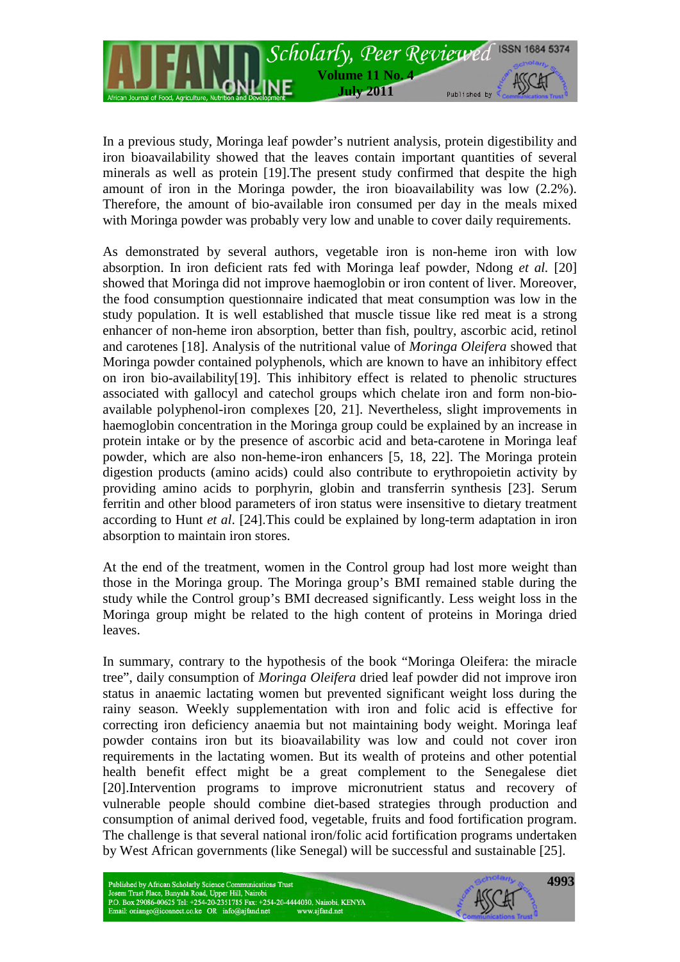

In a previous study, Moringa leaf powder's nutrient analysis, protein digestibility and iron bioavailability showed that the leaves contain important quantities of several minerals as well as protein [19].The present study confirmed that despite the high amount of iron in the Moringa powder, the iron bioavailability was low (2.2%). Therefore, the amount of bio-available iron consumed per day in the meals mixed with Moringa powder was probably very low and unable to cover daily requirements.

As demonstrated by several authors, vegetable iron is non-heme iron with low absorption. In iron deficient rats fed with Moringa leaf powder, Ndong *et al.* [20] showed that Moringa did not improve haemoglobin or iron content of liver. Moreover, the food consumption questionnaire indicated that meat consumption was low in the study population. It is well established that muscle tissue like red meat is a strong enhancer of non-heme iron absorption, better than fish, poultry, ascorbic acid, retinol and carotenes [18]. Analysis of the nutritional value of *Moringa Oleifera* showed that Moringa powder contained polyphenols, which are known to have an inhibitory effect on iron bio-availability[19]. This inhibitory effect is related to phenolic structures associated with gallocyl and catechol groups which chelate iron and form non-bioavailable polyphenol-iron complexes [20, 21]. Nevertheless, slight improvements in haemoglobin concentration in the Moringa group could be explained by an increase in protein intake or by the presence of ascorbic acid and beta-carotene in Moringa leaf powder, which are also non-heme-iron enhancers [5, 18, 22]. The Moringa protein digestion products (amino acids) could also contribute to erythropoietin activity by providing amino acids to porphyrin, globin and transferrin synthesis [23]. Serum ferritin and other blood parameters of iron status were insensitive to dietary treatment according to Hunt *et al*. [24].This could be explained by long-term adaptation in iron absorption to maintain iron stores.

At the end of the treatment, women in the Control group had lost more weight than those in the Moringa group. The Moringa group's BMI remained stable during the study while the Control group's BMI decreased significantly. Less weight loss in the Moringa group might be related to the high content of proteins in Moringa dried leaves.

In summary, contrary to the hypothesis of the book "Moringa Oleifera: the miracle tree", daily consumption of *Moringa Oleifera* dried leaf powder did not improve iron status in anaemic lactating women but prevented significant weight loss during the rainy season. Weekly supplementation with iron and folic acid is effective for correcting iron deficiency anaemia but not maintaining body weight. Moringa leaf powder contains iron but its bioavailability was low and could not cover iron requirements in the lactating women. But its wealth of proteins and other potential health benefit effect might be a great complement to the Senegalese diet [20].Intervention programs to improve micronutrient status and recovery of vulnerable people should combine diet-based strategies through production and consumption of animal derived food, vegetable, fruits and food fortification program. The challenge is that several national iron/folic acid fortification programs undertaken by West African governments (like Senegal) will be successful and sustainable [25].

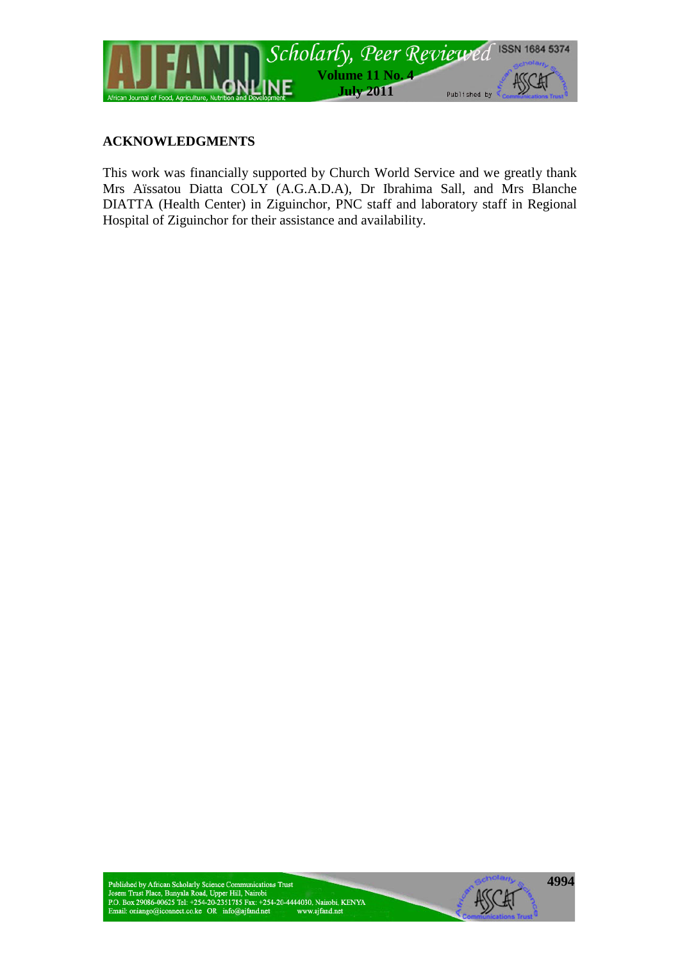

# **ACKNOWLEDGMENTS**

This work was financially supported by Church World Service and we greatly thank Mrs Aïssatou Diatta COLY (A.G.A.D.A), Dr Ibrahima Sall, and Mrs Blanche DIATTA (Health Center) in Ziguinchor, PNC staff and laboratory staff in Regional Hospital of Ziguinchor for their assistance and availability.

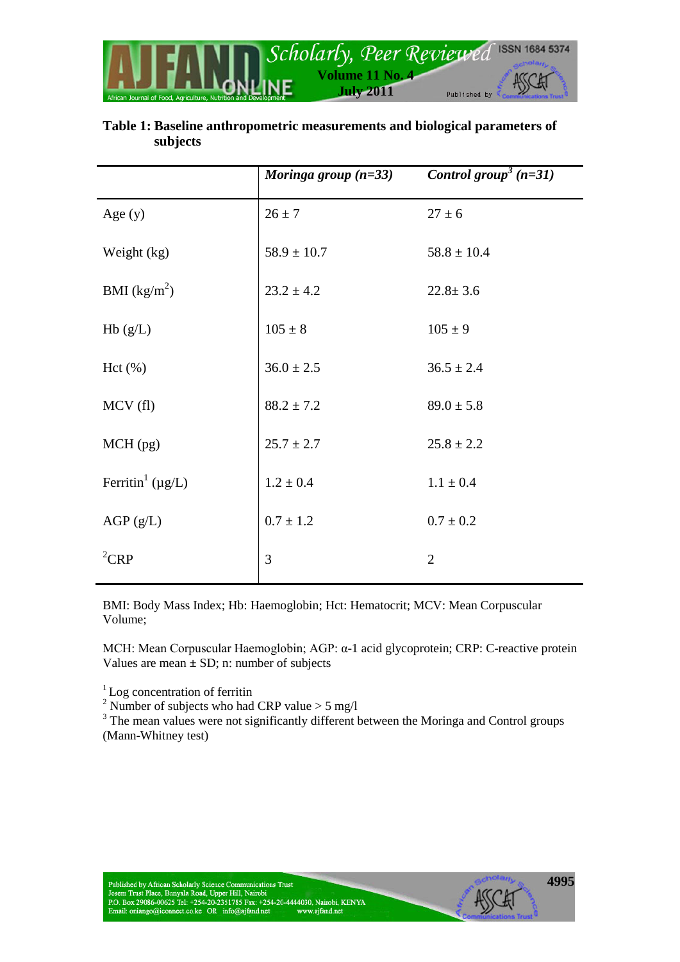

## **Table 1: Baseline anthropometric measurements and biological parameters of subjects**

|                                    | Moringa group $(n=33)$ | Control group <sup>3</sup> ( $n=31$ ) |
|------------------------------------|------------------------|---------------------------------------|
| Age $(y)$                          | $26 \pm 7$             | $27 \pm 6$                            |
| Weight (kg)                        | $58.9 \pm 10.7$        | $58.8 \pm 10.4$                       |
| BMI $(kg/m^2)$                     | $23.2 \pm 4.2$         | $22.8 \pm 3.6$                        |
| Hb(g/L)                            | $105 \pm 8$            | $105 \pm 9$                           |
| Hct(%)                             | $36.0 \pm 2.5$         | $36.5 \pm 2.4$                        |
| MCV(f)                             | $88.2 \pm 7.2$         | $89.0 \pm 5.8$                        |
| $MCH$ (pg)                         | $25.7 \pm 2.7$         | $25.8 \pm 2.2$                        |
| Ferritin <sup>1</sup> ( $\mu$ g/L) | $1.2 \pm 0.4$          | $1.1 \pm 0.4$                         |
| AGP(g/L)                           | $0.7 \pm 1.2$          | $0.7 \pm 0.2$                         |
| ${}^{2}$ CRP                       | 3                      | $\overline{2}$                        |

BMI: Body Mass Index; Hb: Haemoglobin; Hct: Hematocrit; MCV: Mean Corpuscular Volume;

MCH: Mean Corpuscular Haemoglobin; AGP: α-1 acid glycoprotein; CRP: C-reactive protein Values are mean  $\pm$  SD; n: number of subjects

 $1$  Log concentration of ferritin

<sup>2</sup> Number of subjects who had CRP value  $>$  5 mg/l

<sup>3</sup> The mean values were not significantly different between the Moringa and Control groups (Mann-Whitney test)

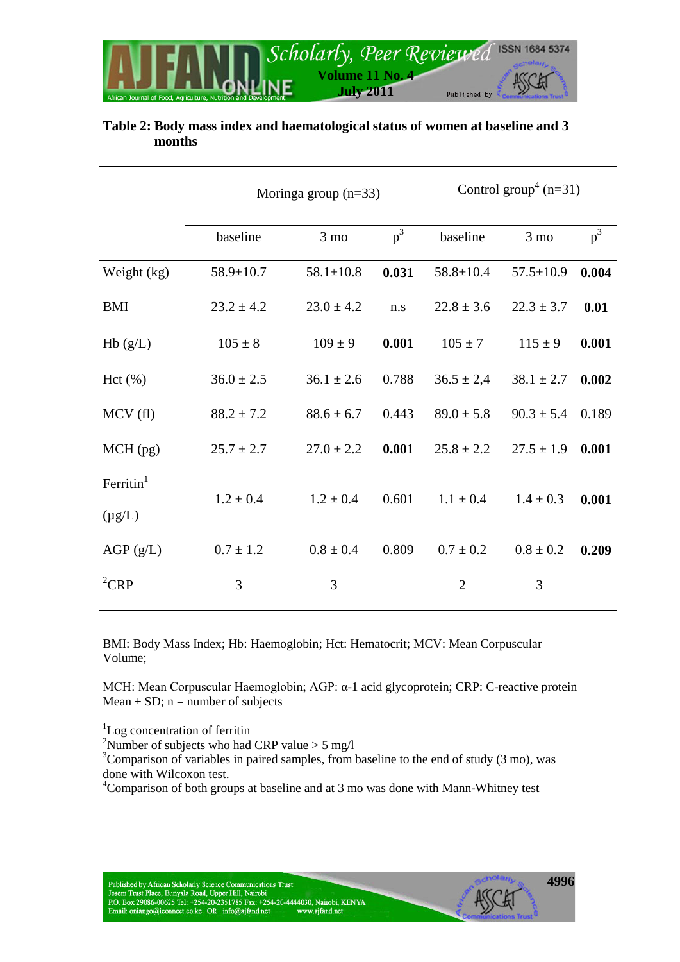

## **Table 2: Body mass index and haematological status of women at baseline and 3 months**

|              | Moringa group $(n=33)$ |                 |       | Control group <sup>4</sup> (n=31) |                 |       |
|--------------|------------------------|-----------------|-------|-----------------------------------|-----------------|-------|
|              | baseline               | $3 \text{ mo}$  | $p^3$ | baseline                          | 3 mo            | $p^3$ |
| Weight (kg)  | $58.9 \pm 10.7$        | $58.1 \pm 10.8$ | 0.031 | $58.8 \pm 10.4$                   | $57.5 \pm 10.9$ | 0.004 |
| <b>BMI</b>   | $23.2 \pm 4.2$         | $23.0 \pm 4.2$  | n.s   | $22.8 \pm 3.6$                    | $22.3 \pm 3.7$  | 0.01  |
| Hb(g/L)      | $105 \pm 8$            | $109 \pm 9$     | 0.001 | $105 \pm 7$                       | $115 \pm 9$     | 0.001 |
| Hct (%)      | $36.0 \pm 2.5$         | $36.1 \pm 2.6$  | 0.788 | $36.5 \pm 2.4$                    | $38.1 \pm 2.7$  | 0.002 |
| MCV (fl)     | $88.2 \pm 7.2$         | $88.6 \pm 6.7$  | 0.443 | $89.0 \pm 5.8$                    | $90.3 \pm 5.4$  | 0.189 |
| $MCH$ (pg)   | $25.7 \pm 2.7$         | $27.0 \pm 2.2$  | 0.001 | $25.8 \pm 2.2$                    | $27.5 \pm 1.9$  | 0.001 |
| Ferritin $1$ | $1.2 \pm 0.4$          | $1.2 \pm 0.4$   | 0.601 | $1.1 \pm 0.4$                     | $1.4 \pm 0.3$   | 0.001 |
| $(\mu g/L)$  |                        |                 |       |                                   |                 |       |
| AGP(g/L)     | $0.7 \pm 1.2$          | $0.8 \pm 0.4$   | 0.809 | $0.7 \pm 0.2$                     | $0.8 \pm 0.2$   | 0.209 |
| ${}^{2}$ CRP | 3                      | 3               |       | $\overline{2}$                    | 3               |       |

BMI: Body Mass Index; Hb: Haemoglobin; Hct: Hematocrit; MCV: Mean Corpuscular Volume;

MCH: Mean Corpuscular Haemoglobin; AGP: α-1 acid glycoprotein; CRP: C-reactive protein Mean  $\pm$  SD; n = number of subjects

<sup>1</sup>Log concentration of ferritin

<sup>2</sup>Number of subjects who had CRP value  $>$  5 mg/l

 $3$ Comparison of variables in paired samples, from baseline to the end of study (3 mo), was done with Wilcoxon test.

4 Comparison of both groups at baseline and at 3 mo was done with Mann-Whitney test

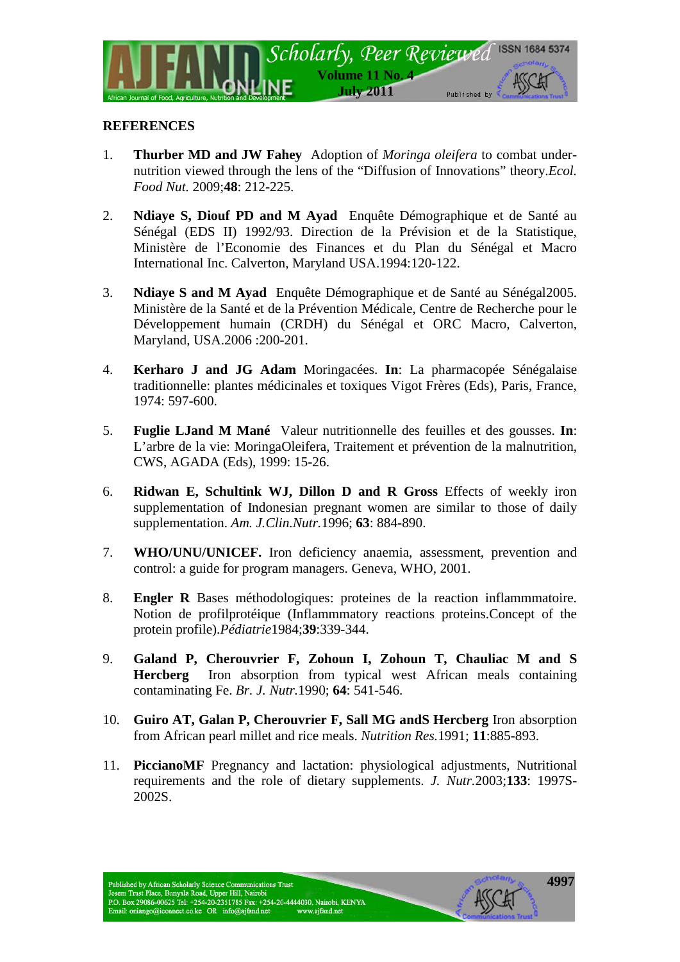

## **REFERENCES**

- 1. **Thurber MD and JW Fahey** Adoption of *Moringa oleifera* to combat undernutrition viewed through the lens of the "Diffusion of Innovations" theory.*Ecol. Food Nut.* 2009;**48**: 212-225.
- 2. **Ndiaye S, Diouf PD and M Ayad** Enquête Démographique et de Santé au Sénégal (EDS II) 1992/93. Direction de la Prévision et de la Statistique, Ministère de l'Economie des Finances et du Plan du Sénégal et Macro International Inc. Calverton, Maryland USA.1994:120-122.
- 3. **Ndiaye S and M Ayad** Enquête Démographique et de Santé au Sénégal2005. Ministère de la Santé et de la Prévention Médicale, Centre de Recherche pour le Développement humain (CRDH) du Sénégal et ORC Macro, Calverton, Maryland, USA.2006 :200-201.
- 4. **Kerharo J and JG Adam** Moringacées. **In**: La pharmacopée Sénégalaise traditionnelle: plantes médicinales et toxiques Vigot Frères (Eds), Paris, France, 1974: 597-600.
- 5. **Fuglie LJand M Mané** Valeur nutritionnelle des feuilles et des gousses. **In**: L'arbre de la vie: MoringaOleifera, Traitement et prévention de la malnutrition, CWS, AGADA (Eds), 1999: 15-26.
- 6. **Ridwan E, Schultink WJ, Dillon D and R Gross** Effects of weekly iron supplementation of Indonesian pregnant women are similar to those of daily supplementation. *Am. J.Clin.Nutr.*1996; **63**: 884-890.
- 7. **WHO/UNU/UNICEF.** Iron deficiency anaemia, assessment, prevention and control: a guide for program managers. Geneva, WHO, 2001.
- 8. **Engler R** Bases méthodologiques: proteines de la reaction inflammmatoire. Notion de profilprotéique (Inflammmatory reactions proteins.Concept of the protein profile).*Pédiatrie*1984;**39**:339-344.
- 9. **Galand P, Cherouvrier F, Zohoun I, Zohoun T, Chauliac M and S Hercberg** Iron absorption from typical west African meals containing contaminating Fe. *Br. J. Nutr.*1990; **64**: 541-546.
- 10. **Guiro AT, Galan P, Cherouvrier F, Sall MG andS Hercberg** Iron absorption from African pearl millet and rice meals. *Nutrition Res.*1991; **11**:885-893.
- 11. **PiccianoMF** Pregnancy and lactation: physiological adjustments, Nutritional requirements and the role of dietary supplements. *J. Nutr.*2003;**133**: 1997S-2002S.

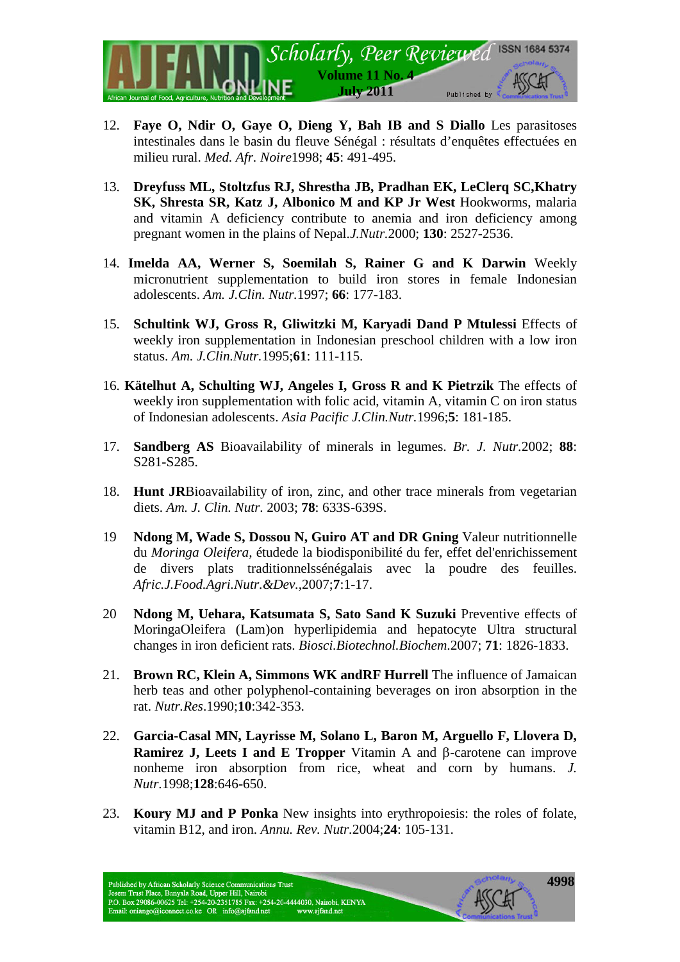

- 12. **Faye O, Ndir O, Gaye O, Dieng Y, Bah IB and S Diallo** Les parasitoses intestinales dans le basin du fleuve Sénégal : résultats d'enquêtes effectuées en milieu rural. *Med. Afr. Noire*1998; **45**: 491-495.
- 13. **Dreyfuss ML, Stoltzfus RJ, Shrestha JB, Pradhan EK, LeClerq SC,Khatry SK, Shresta SR, Katz J, Albonico M and KP Jr West** Hookworms, malaria and vitamin A deficiency contribute to anemia and iron deficiency among pregnant women in the plains of Nepal.*J.Nutr.*2000; **130**: 2527-2536.
- 14. **Imelda AA, Werner S, Soemilah S, Rainer G and K Darwin** Weekly micronutrient supplementation to build iron stores in female Indonesian adolescents. *Am. J.Clin. Nutr.*1997; **66**: 177-183.
- 15. **Schultink WJ, Gross R, Gliwitzki M, Karyadi Dand P Mtulessi** Effects of weekly iron supplementation in Indonesian preschool children with a low iron status. *Am. J.Clin.Nutr.*1995;**61**: 111-115.
- 16. **Kätelhut A, Schulting WJ, Angeles I, Gross R and K Pietrzik** The effects of weekly iron supplementation with folic acid, vitamin A, vitamin C on iron status of Indonesian adolescents. *Asia Pacific J.Clin.Nutr.*1996;**5**: 181-185.
- 17. **Sandberg AS** Bioavailability of minerals in legumes. *Br. J. Nutr.*2002; **88**: S281-S285.
- 18. **Hunt JR**Bioavailability of iron, zinc, and other trace minerals from vegetarian diets. *Am. J. Clin. Nutr.* 2003; **78**: 633S-639S.
- 19 **Ndong M, Wade S, Dossou N, Guiro AT and DR Gning** Valeur nutritionnelle du *Moringa Oleifera,* étudede la biodisponibilité du fer, effet del'enrichissement de divers plats traditionnelssénégalais avec la poudre des feuilles. *Afric.J.Food.Agri.Nutr.&Dev.*,2007;**7**:1-17.
- 20 **Ndong M, Uehara, Katsumata S, Sato Sand K Suzuki** Preventive effects of MoringaOleifera (Lam)on hyperlipidemia and hepatocyte Ultra structural changes in iron deficient rats. *Biosci.Biotechnol.Biochem*.2007; **71**: 1826-1833.
- 21. **Brown RC, Klein A, Simmons WK andRF Hurrell** The influence of Jamaican herb teas and other polyphenol-containing beverages on iron absorption in the rat. *Nutr.Res*.1990;**10**:342-353.
- 22. **Garcia-Casal MN, Layrisse M, Solano L, Baron M, Arguello F, Llovera D, Ramirez J, Leets I and E Tropper** Vitamin A and β-carotene can improve nonheme iron absorption from rice, wheat and corn by humans. *J. Nutr.*1998;**128**:646-650.
- 23. **Koury MJ and P Ponka** New insights into erythropoiesis: the roles of folate, vitamin B12, and iron. *Annu. Rev. Nutr.*2004;**24**: 105-131.

**4998**